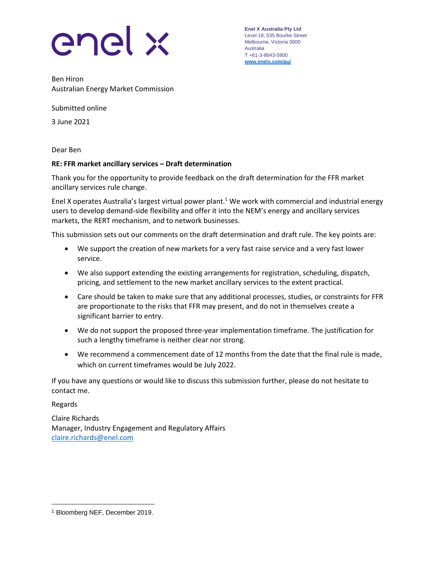

**Enel X Australia Pty Ltd** Level 18, 535 Bourke Street Melbourne, Victoria 3000 Australia T +61-3-8643-5900 **[www.enelx.com/a](http://www.enelx.com/)u/**

Ben Hiron Australian Energy Market Commission

Submitted online

3 June 2021

Dear Ben

#### **RE: FFR market ancillary services – Draft determination**

Thank you for the opportunity to provide feedback on the draft determination for the FFR market ancillary services rule change.

Enel X operates Australia's largest virtual power plant.<sup>1</sup> We work with commercial and industrial energy users to develop demand-side flexibility and offer it into the NEM's energy and ancillary services markets, the RERT mechanism, and to network businesses.

This submission sets out our comments on the draft determination and draft rule. The key points are:

- We support the creation of new markets for a very fast raise service and a very fast lower service.
- We also support extending the existing arrangements for registration, scheduling, dispatch, pricing, and settlement to the new market ancillary services to the extent practical.
- Care should be taken to make sure that any additional processes, studies, or constraints for FFR are proportionate to the risks that FFR may present, and do not in themselves create a significant barrier to entry.
- We do not support the proposed three-year implementation timeframe. The justification for such a lengthy timeframe is neither clear nor strong.
- We recommend a commencement date of 12 months from the date that the final rule is made, which on current timeframes would be July 2022.

If you have any questions or would like to discuss this submission further, please do not hesitate to contact me.

Regards

Claire Richards Manager, Industry Engagement and Regulatory Affairs [claire.richards@enel.com](mailto:claire.richards@enel.com)

<sup>1</sup> Bloomberg NEF, December 2019.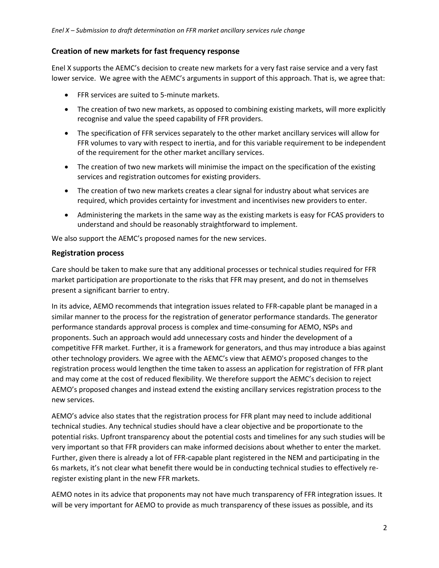# **Creation of new markets for fast frequency response**

Enel X supports the AEMC's decision to create new markets for a very fast raise service and a very fast lower service. We agree with the AEMC's arguments in support of this approach. That is, we agree that:

- FFR services are suited to 5-minute markets.
- The creation of two new markets, as opposed to combining existing markets, will more explicitly recognise and value the speed capability of FFR providers.
- The specification of FFR services separately to the other market ancillary services will allow for FFR volumes to vary with respect to inertia, and for this variable requirement to be independent of the requirement for the other market ancillary services.
- The creation of two new markets will minimise the impact on the specification of the existing services and registration outcomes for existing providers.
- The creation of two new markets creates a clear signal for industry about what services are required, which provides certainty for investment and incentivises new providers to enter.
- Administering the markets in the same way as the existing markets is easy for FCAS providers to understand and should be reasonably straightforward to implement.

We also support the AEMC's proposed names for the new services.

## **Registration process**

Care should be taken to make sure that any additional processes or technical studies required for FFR market participation are proportionate to the risks that FFR may present, and do not in themselves present a significant barrier to entry.

In its advice, AEMO recommends that integration issues related to FFR-capable plant be managed in a similar manner to the process for the registration of generator performance standards. The generator performance standards approval process is complex and time-consuming for AEMO, NSPs and proponents. Such an approach would add unnecessary costs and hinder the development of a competitive FFR market. Further, it is a framework for generators, and thus may introduce a bias against other technology providers. We agree with the AEMC's view that AEMO's proposed changes to the registration process would lengthen the time taken to assess an application for registration of FFR plant and may come at the cost of reduced flexibility. We therefore support the AEMC's decision to reject AEMO's proposed changes and instead extend the existing ancillary services registration process to the new services.

AEMO's advice also states that the registration process for FFR plant may need to include additional technical studies. Any technical studies should have a clear objective and be proportionate to the potential risks. Upfront transparency about the potential costs and timelines for any such studies will be very important so that FFR providers can make informed decisions about whether to enter the market. Further, given there is already a lot of FFR-capable plant registered in the NEM and participating in the 6s markets, it's not clear what benefit there would be in conducting technical studies to effectively reregister existing plant in the new FFR markets.

AEMO notes in its advice that proponents may not have much transparency of FFR integration issues. It will be very important for AEMO to provide as much transparency of these issues as possible, and its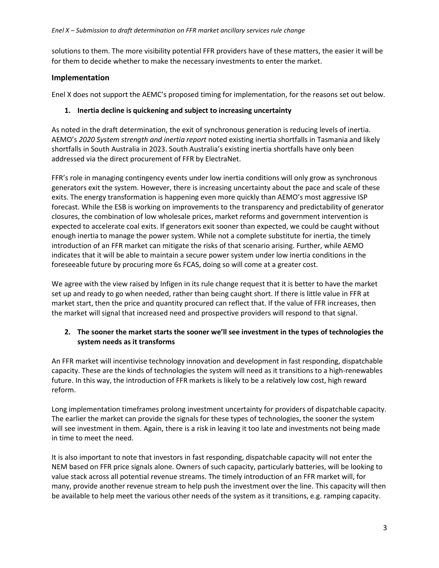solutions to them. The more visibility potential FFR providers have of these matters, the easier it will be for them to decide whether to make the necessary investments to enter the market.

## **Implementation**

Enel X does not support the AEMC's proposed timing for implementation, for the reasons set out below.

### **1. Inertia decline is quickening and subject to increasing uncertainty**

As noted in the draft determination, the exit of synchronous generation is reducing levels of inertia. AEMO's *2020 System strength and inertia report* noted existing inertia shortfalls in Tasmania and likely shortfalls in South Australia in 2023. South Australia's existing inertia shortfalls have only been addressed via the direct procurement of FFR by ElectraNet.

FFR's role in managing contingency events under low inertia conditions will only grow as synchronous generators exit the system. However, there is increasing uncertainty about the pace and scale of these exits. The energy transformation is happening even more quickly than AEMO's most aggressive ISP forecast. While the ESB is working on improvements to the transparency and predictability of generator closures, the combination of low wholesale prices, market reforms and government intervention is expected to accelerate coal exits. If generators exit sooner than expected, we could be caught without enough inertia to manage the power system. While not a complete substitute for inertia, the timely introduction of an FFR market can mitigate the risks of that scenario arising. Further, while AEMO indicates that it will be able to maintain a secure power system under low inertia conditions in the foreseeable future by procuring more 6s FCAS, doing so will come at a greater cost.

We agree with the view raised by Infigen in its rule change request that it is better to have the market set up and ready to go when needed, rather than being caught short. If there is little value in FFR at market start, then the price and quantity procured can reflect that. If the value of FFR increases, then the market will signal that increased need and prospective providers will respond to that signal.

# **2. The sooner the market starts the sooner we'll see investment in the types of technologies the system needs as it transforms**

An FFR market will incentivise technology innovation and development in fast responding, dispatchable capacity. These are the kinds of technologies the system will need as it transitions to a high-renewables future. In this way, the introduction of FFR markets is likely to be a relatively low cost, high reward reform.

Long implementation timeframes prolong investment uncertainty for providers of dispatchable capacity. The earlier the market can provide the signals for these types of technologies, the sooner the system will see investment in them. Again, there is a risk in leaving it too late and investments not being made in time to meet the need.

It is also important to note that investors in fast responding, dispatchable capacity will not enter the NEM based on FFR price signals alone. Owners of such capacity, particularly batteries, will be looking to value stack across all potential revenue streams. The timely introduction of an FFR market will, for many, provide another revenue stream to help push the investment over the line. This capacity will then be available to help meet the various other needs of the system as it transitions, e.g. ramping capacity.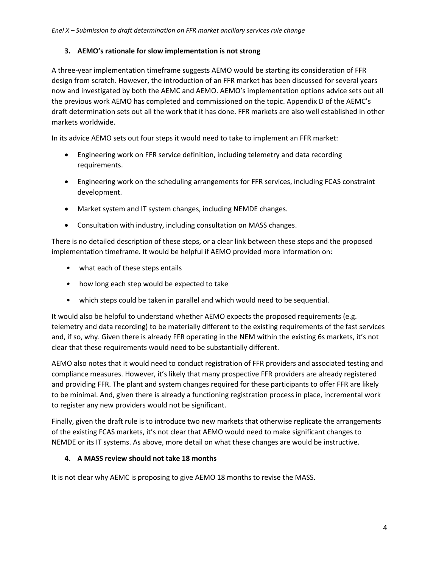### **3. AEMO's rationale for slow implementation is not strong**

A three-year implementation timeframe suggests AEMO would be starting its consideration of FFR design from scratch. However, the introduction of an FFR market has been discussed for several years now and investigated by both the AEMC and AEMO. AEMO's implementation options advice sets out all the previous work AEMO has completed and commissioned on the topic. Appendix D of the AEMC's draft determination sets out all the work that it has done. FFR markets are also well established in other markets worldwide.

In its advice AEMO sets out four steps it would need to take to implement an FFR market:

- Engineering work on FFR service definition, including telemetry and data recording requirements.
- Engineering work on the scheduling arrangements for FFR services, including FCAS constraint development.
- Market system and IT system changes, including NEMDE changes.
- Consultation with industry, including consultation on MASS changes.

There is no detailed description of these steps, or a clear link between these steps and the proposed implementation timeframe. It would be helpful if AEMO provided more information on:

- what each of these steps entails
- how long each step would be expected to take
- which steps could be taken in parallel and which would need to be sequential.

It would also be helpful to understand whether AEMO expects the proposed requirements (e.g. telemetry and data recording) to be materially different to the existing requirements of the fast services and, if so, why. Given there is already FFR operating in the NEM within the existing 6s markets, it's not clear that these requirements would need to be substantially different.

AEMO also notes that it would need to conduct registration of FFR providers and associated testing and compliance measures. However, it's likely that many prospective FFR providers are already registered and providing FFR. The plant and system changes required for these participants to offer FFR are likely to be minimal. And, given there is already a functioning registration process in place, incremental work to register any new providers would not be significant.

Finally, given the draft rule is to introduce two new markets that otherwise replicate the arrangements of the existing FCAS markets, it's not clear that AEMO would need to make significant changes to NEMDE or its IT systems. As above, more detail on what these changes are would be instructive.

#### **4. A MASS review should not take 18 months**

It is not clear why AEMC is proposing to give AEMO 18 months to revise the MASS.